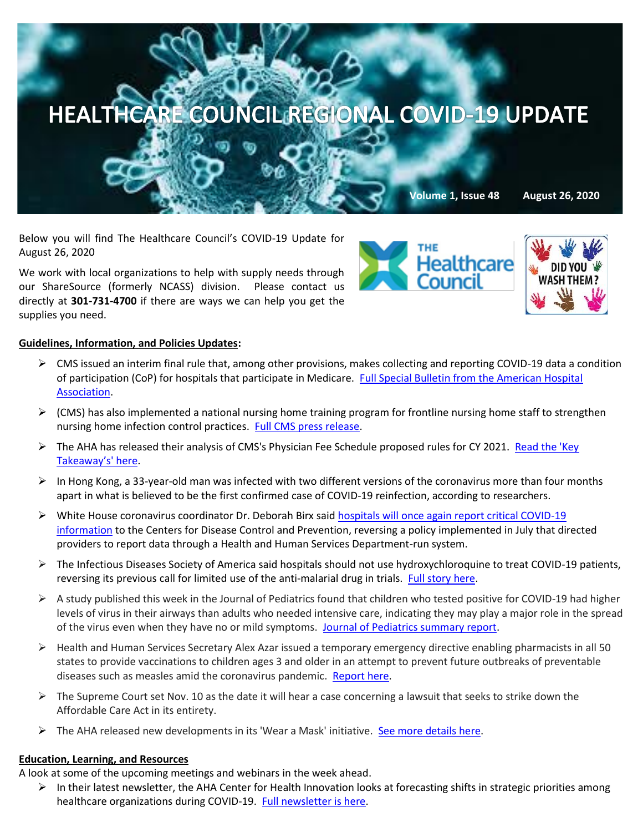

Below you will find The Healthcare Council's COVID-19 Update for August 26, 2020

We work with local organizations to help with supply needs through our ShareSource (formerly NCASS) division. Please contact us directly at **301-731-4700** if there are ways we can help you get the supplies you need.





# **Guidelines, Information, and Policies Updates:**

- $\triangleright$  CMS issued an interim final rule that, among other provisions, makes collecting and reporting COVID-19 data a condition of participation (CoP) for hospitals that participate in Medicare. [Full Special Bulletin from the American Hospital](https://contentsharing.net/actions/email_web_version.cfm?ep=Bdhtp-zVuqFkgQiV6-lxty0f-nrLBJWzuTngPvD-5dVa6_lr-HoaggWgNGgZrgmwKi1OeiG0uuqIfcJnpJMbLSwHaNlLxKRt2_W1GpBKQ0kGZJ_VhzVc8xTnDyLlywfz)  [Association.](https://contentsharing.net/actions/email_web_version.cfm?ep=Bdhtp-zVuqFkgQiV6-lxty0f-nrLBJWzuTngPvD-5dVa6_lr-HoaggWgNGgZrgmwKi1OeiG0uuqIfcJnpJMbLSwHaNlLxKRt2_W1GpBKQ0kGZJ_VhzVc8xTnDyLlywfz)
- $\triangleright$  (CMS) has also implemented a national nursing home training program for frontline nursing home staff to strengthen nursing home infection control practices. [Full CMS press release.](https://www.cms.gov/newsroom/press-releases/trump-administration-launches-national-training-program-strengthen-nursing-home-infection-control)
- ➢ The AHA has released their analysis of CMS's Physician Fee Schedule proposed rules for CY 2021. [Read the 'Key](https://www.aha.org/advisory/2020-08-25-medicare-physician-fee-schedule-proposed-rule-cy-2021?utm_source=newsletter&utm_medium=email&utm_content=08252020-regadv-P3&utm_campaign=aha-special-bulletin)  Takeaw[ay's' here](https://www.aha.org/advisory/2020-08-25-medicare-physician-fee-schedule-proposed-rule-cy-2021?utm_source=newsletter&utm_medium=email&utm_content=08252020-regadv-P3&utm_campaign=aha-special-bulletin).
- $\triangleright$  In Hong Kong, a 33-year-old man was infected with two different versions of the coronavirus more than four months apart in what is believed to be the first confirmed case of COVID-19 reinfection, according to researchers.
- ➢ White House coronavirus coordinator Dr. Deborah Birx said [hospitals will once again report critical COVID-19](https://c.morningconsult.com/s0he0Vu0WAfd0T0M5C30z0A#_blank)  [information](https://c.morningconsult.com/s0he0Vu0WAfd0T0M5C30z0A#_blank) to the Centers for Disease Control and Prevention, reversing a policy implemented in July that directed providers to report data through a Health and Human Services Department-run system.
- ➢ The Infectious Diseases Society of America said hospitals should not use hydroxychloroquine to treat COVID-19 patients, reversing its previous call for limited use of the anti-malarial drug in trials. [Full story here.](https://www.bloomberg.com/news/articles/2020-08-21/hydroxychloroquine-shouldn-t-be-used-at-all-for-covid-isda-says?mkt_tok=eyJpIjoiT1RobE1URXlZbVUxWWpkbCIsInQiOiJ5cFpZOGdaQ3ZSTVV1XC8wM0RKYjJNU3daXC9zT3FHMHI2ekwwN2dYK3JSRXdibnNhQThJY2Y5S29RY3NNQiszU2hVVFwvQnFNOUtoaHBKZzBybUFRdHpOQVwvMGQ4SThTWjRVYjVIcmg0cmEzQzZzblwvc3o3OURxU08rcXpuMXJNSGFBIn0=)
- $\triangleright$  A study published this week in the Journal of Pediatrics found that children who tested positive for COVID-19 had higher levels of virus in their airways than adults who needed intensive care, indicating they may play a major role in the spread of the virus even when they have no or mild symptoms. [Journal of Pediatrics summary report.](https://www.jpeds.com/article/S0022-3476(20)31023-4/fulltext)
- $\triangleright$  Health and Human Services Secretary Alex Azar issued a temporary emergency directive enabling pharmacists in all 50 states to provide vaccinations to children ages 3 and older in an attempt to prevent future outbreaks of preventable diseases such as measles amid the coronavirus pandemic. [Report here.](https://apnews.com/6147846d7fc3e9e24c5da70d62f814de?mkt_tok=eyJpIjoiWlRFMlpHSTRORGd3T1dSaiIsInQiOiJNOENVbDVpMGFNWXVOa1diRDFVemttZkxKUDYyNkVFYmJWaHRybEt2WGpzekZcL1ZJNHJkR1hzWGtkSlJVSWF3VlBmT3g0b0N1SkNkQ1wvMnM5bmxLTGp3ZFZkT0lvR1hzTGtXWTZ6RnlWNm56UWRsUFFxcFljZFVUQmFtYlwvdmVDTSJ9)
- $\triangleright$  The Supreme Court set Nov. 10 as the date it will hear a case concerning a lawsuit that seeks to strike down the Affordable Care Act in its entirety.
- $\triangleright$  The AHA released new developments in its 'Wear a Mask' initiative. [See more details here.](https://mail.google.com/mail/u/0/#inbox/FMfcgxwJXVKMZjRjLrHPNSGhGRHDPtDz)

### **Education, Learning, and Resources**

A look at some of the upcoming meetings and webinars in the week ahead.

 $\triangleright$  In their latest newsletter, the AHA Center for Health Innovation looks at forecasting shifts in strategic priorities among healthcare organizations during COVID-19. [Full newsletter is here.](https://contentsharing.net/actions/email_web_version.cfm?ep=Bdhtp-zVuqFkgQiV6-lxty0f-nrLBJWzuTngPvD-5dUiAr6tT8YTe5y0xL75FPjL0YdZgQtnh5s4-UPypfDq5nhvu-eg7avHgfMOPA-eikVResg_TaVwTNq4Ly-Cpt3a)